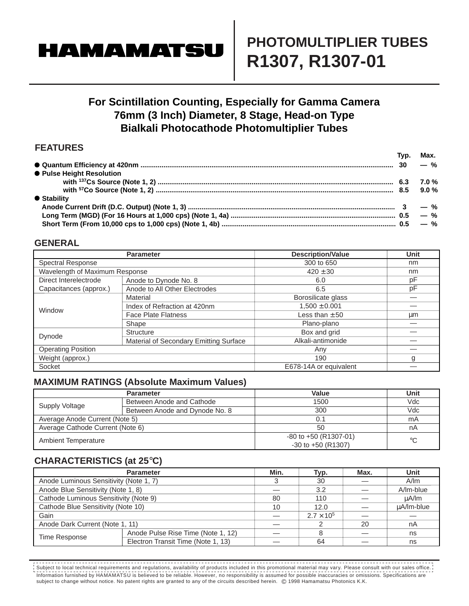# **HAMAMATSU**

## **PHOTOMULTIPLIER TUBES R1307, R1307-01**

## **For Scintillation Counting, Especially for Gamma Camera 76mm (3 Inch) Diameter, 8 Stage, Head-on Type Bialkali Photocathode Photomultiplier Tubes**

### **FEATURES**

|                           | Typ. Max. |
|---------------------------|-----------|
|                           |           |
| ● Pulse Height Resolution |           |
|                           |           |
|                           |           |
| ● Stability               |           |
|                           |           |
|                           |           |
|                           |           |

#### **GENERAL**

|                                                | <b>Parameter</b>                       | <b>Description/Value</b> | Unit |
|------------------------------------------------|----------------------------------------|--------------------------|------|
| <b>Spectral Response</b>                       |                                        | 300 to 650               | nm   |
| Wavelength of Maximum Response                 |                                        | $420 \pm 30$             | nm   |
| Direct Interelectrode<br>Anode to Dynode No. 8 |                                        | 6.0                      | pF   |
| Capacitances (approx.)                         | Anode to All Other Electrodes          | 6.5                      | рF   |
| Window                                         | Material                               | Borosilicate glass       |      |
|                                                | Index of Refraction at 420nm           | $1,500 \pm 0.001$        |      |
|                                                | <b>Face Plate Flatness</b>             | Less than $\pm 50$       | μm   |
|                                                | Shape                                  | Plano-plano              |      |
| Dynode                                         | Structure                              | Box and grid             |      |
|                                                | Material of Secondary Emitting Surface | Alkali-antimonide        |      |
| <b>Operating Position</b>                      |                                        | Any                      |      |
| Weight (approx.)                               |                                        | 190                      | g    |
| Socket                                         |                                        | E678-14A or equivalent   |      |

#### **MAXIMUM RATINGS (Absolute Maximum Values)**

|                                  | <b>Parameter</b>               | Value                                               | Unit |
|----------------------------------|--------------------------------|-----------------------------------------------------|------|
| Supply Voltage                   | Between Anode and Cathode      | 1500                                                | Vdc  |
|                                  | Between Anode and Dynode No. 8 | 300                                                 | Vdc  |
| Average Anode Current (Note 5)   |                                | 0.1                                                 | mA   |
| Average Cathode Current (Note 6) |                                | 50                                                  | nA   |
| Ambient Temperature              |                                | $-80$ to $+50$ (R1307-01)<br>$-30$ to $+50$ (R1307) | °C   |

### **CHARACTERISTICS (at 25**°**C)**

|                                        | <b>Parameter</b>                   | Min.                | Typ. | Max.       | <b>Unit</b> |
|----------------------------------------|------------------------------------|---------------------|------|------------|-------------|
| Anode Luminous Sensitivity (Note 1, 7) |                                    |                     | 30   |            | A/m         |
| Anode Blue Sensitivity (Note 1, 8)     |                                    |                     | 3.2  |            | A/Im-blue   |
| Cathode Luminous Sensitivity (Note 9)  |                                    | 80                  | 110  |            | uA/lm       |
| Cathode Blue Sensitivity (Note 10)     | 10                                 | 12.0                |      | µA/lm-blue |             |
| Gain                                   |                                    | $2.7 \times 10^{5}$ |      |            |             |
| Anode Dark Current (Note 1, 11)        |                                    |                     |      | 20         | nA          |
| <b>Time Response</b>                   | Anode Pulse Rise Time (Note 1, 12) |                     |      |            | ns          |
|                                        | Electron Transit Time (Note 1, 13) |                     | 64   |            | ns          |

Information furnished by HAMAMATSU is believed to be reliable. However, no responsibility is assumed for possible inaccuracies or omissions. Specifications are subject to change without notice. No patent rights are granted to any of the circuits described herein. © 1998 Hamamatsu Photonics K.K. Subject to local technical requirements and regulations, availability of products included in this promotional material may vary. Please consult with our sales office.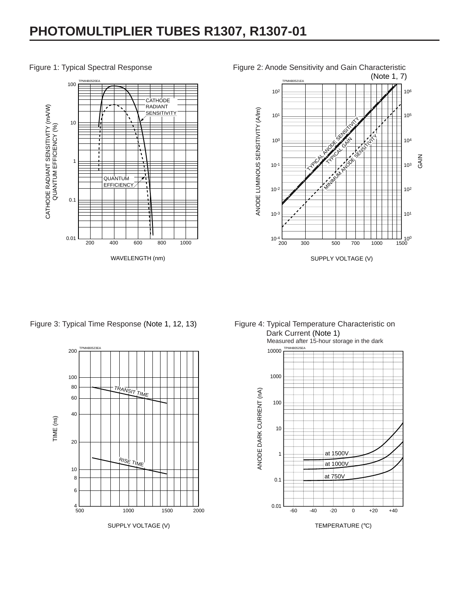## **PHOTOMULTIPLIER TUBES R1307, R1307-01**



#### Figure 1: Typical Spectral Response



Figure 2: Anode Sensitivity and Gain Characteristic

Figure 3: Typical Time Response (Note 1, 12, 13)



Figure 4: Typical Temperature Characteristic on Dark Current (Note 1)

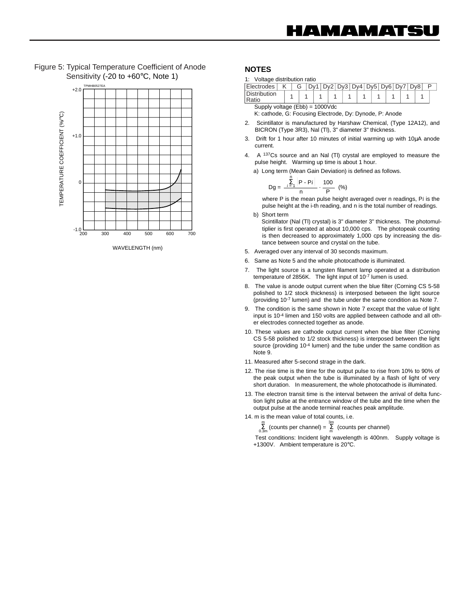Figure 5: Typical Temperature Coefficient of Anode Sensitivity (-20 to +60°C, Note 1)



WAVELENGTH (nm)

#### **NOTES**

|  | 1: Voltage distribution ratio |  |
|--|-------------------------------|--|
|  |                               |  |

| <b>Electrodes</b>                        |  |  |  |  |  |  |  |  |  |  |  |  | Dv1   Dv2   Dv3   Dv4   Dv5   Dv6   Dv7   Dv8 |  |  |  |  |  |  |  |  |
|------------------------------------------|--|--|--|--|--|--|--|--|--|--|--|--|-----------------------------------------------|--|--|--|--|--|--|--|--|
| <b>Distribution</b><br>Ratio             |  |  |  |  |  |  |  |  |  |  |  |  |                                               |  |  |  |  |  |  |  |  |
| Supply voltage $(Ebb) = 1000 \text{Vdc}$ |  |  |  |  |  |  |  |  |  |  |  |  |                                               |  |  |  |  |  |  |  |  |

K: cathode, G: Focusing Electrode, Dy: Dynode, P: Anode

- 2. Scintillator is manufactured by Harshaw Chemical, (Type 12A12), and BICRON (Type 3R3), Nal (Tl), 3" diameter 3" thickness.
- 3. Drift for 1 hour after 10 minutes of initial warming up with 10µA anode current.
- 4. A 137Cs source and an Nal (Tl) crystal are employed to measure the pulse height. Warming up time is about 1 hour.

a) Long term (Mean Gain Deviation) is defined as follows.

$$
Dg = \frac{\sum_{i=1}^{n} |P - Pi|}{n} \cdot \frac{100}{P} \quad (*)
$$

where P is the mean pulse height averaged over n readings, P*i* is the pulse height at the i-th reading, and n is the total number of readings.

- b) Short term Scintillator (Nal (Tl) crystal) is 3" diameter 3" thickness. The photomultiplier is first operated at about 10,000 cps. The photopeak counting is then decreased to approximately 1,000 cps by increasing the distance between source and crystal on the tube.
- 5. Averaged over any interval of 30 seconds maximum.
- 6. Same as Note 5 and the whole photocathode is illuminated.
- 7. The light source is a tungsten filament lamp operated at a distribution temperature of 2856K. The light input of 10-7 lumen is used.
- 8. The value is anode output current when the blue filter (Corning CS 5-58 polished to 1/2 stock thickness) is interposed between the light source (providing 10-7 lumen) and the tube under the same condition as Note 7.
- 9. The condition is the same shown in Note 7 except that the value of light input is 10-4 limen and 150 volts are applied between cathode and all other electrodes connected together as anode.
- 10. These values are cathode output current when the blue filter (Corning CS 5-58 polished to 1/2 stock thickness) is interposed between the light source (providing 10-4 lumen) and the tube under the same condition as Note 9.
- 11. Measured after 5-second strage in the dark.
- 12. The rise time is the time for the output pulse to rise from 10% to 90% of the peak output when the tube is illuminated by a flash of light of very short duration. In measurement, the whole photocathode is illuminated.
- 13. The electron transit time is the interval between the arrival of delta function light pulse at the entrance window of the tube and the time when the output pulse at the anode terminal reaches peak amplitude.

14. m is the mean value of total counts, i.e.

 $\sum_{0.3m}^{m}$  (counts per channel) =  $\sum_{m}^{3m}$  (counts per channel) 3m m

Test conditions: Incident light wavelength is 400nm. Supply voltage is +1300V. Ambient temperature is 20°C.